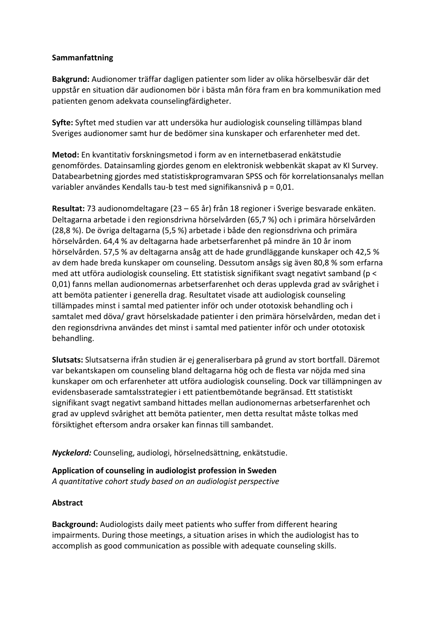## **Sammanfattning**

**Bakgrund:** Audionomer träffar dagligen patienter som lider av olika hörselbesvär där det uppstår en situation där audionomen bör i bästa mån föra fram en bra kommunikation med patienten genom adekvata counselingfärdigheter.

**Syfte:** Syftet med studien var att undersöka hur audiologisk counseling tillämpas bland Sveriges audionomer samt hur de bedömer sina kunskaper och erfarenheter med det.

**Metod:** En kvantitativ forskningsmetod i form av en internetbaserad enkätstudie genomfördes. Datainsamling gjordes genom en elektronisk webbenkät skapat av KI Survey. Databearbetning gjordes med statistiskprogramvaran SPSS och för korrelationsanalys mellan variabler användes Kendalls tau-b test med signifikansnivå p = 0,01.

**Resultat:** 73 audionomdeltagare (23 – 65 år) från 18 regioner i Sverige besvarade enkäten. Deltagarna arbetade i den regionsdrivna hörselvården (65,7 %) och i primära hörselvården (28,8 %). De övriga deltagarna (5,5 %) arbetade i både den regionsdrivna och primära hörselvården. 64,4 % av deltagarna hade arbetserfarenhet på mindre än 10 år inom hörselvården. 57,5 % av deltagarna ansåg att de hade grundläggande kunskaper och 42,5 % av dem hade breda kunskaper om counseling. Dessutom ansågs sig även 80,8 % som erfarna med att utföra audiologisk counseling. Ett statistisk signifikant svagt negativt samband (p < 0,01) fanns mellan audionomernas arbetserfarenhet och deras upplevda grad av svårighet i att bemöta patienter i generella drag. Resultatet visade att audiologisk counseling tillämpades minst i samtal med patienter inför och under ototoxisk behandling och i samtalet med döva/ gravt hörselskadade patienter i den primära hörselvården, medan det i den regionsdrivna användes det minst i samtal med patienter inför och under ototoxisk behandling.

**Slutsats:** Slutsatserna ifrån studien är ej generaliserbara på grund av stort bortfall. Däremot var bekantskapen om counseling bland deltagarna hög och de flesta var nöjda med sina kunskaper om och erfarenheter att utföra audiologisk counseling. Dock var tillämpningen av evidensbaserade samtalsstrategier i ett patientbemötande begränsad. Ett statistiskt signifikant svagt negativt samband hittades mellan audionomernas arbetserfarenhet och grad av upplevd svårighet att bemöta patienter, men detta resultat måste tolkas med försiktighet eftersom andra orsaker kan finnas till sambandet.

*Nyckelord:* Counseling, audiologi, hörselnedsättning, enkätstudie.

**Application of counseling in audiologist profession in Sweden** *A quantitative cohort study based on an audiologist perspective*

## **Abstract**

**Background:** Audiologists daily meet patients who suffer from different hearing impairments. During those meetings, a situation arises in which the audiologist has to accomplish as good communication as possible with adequate counseling skills.